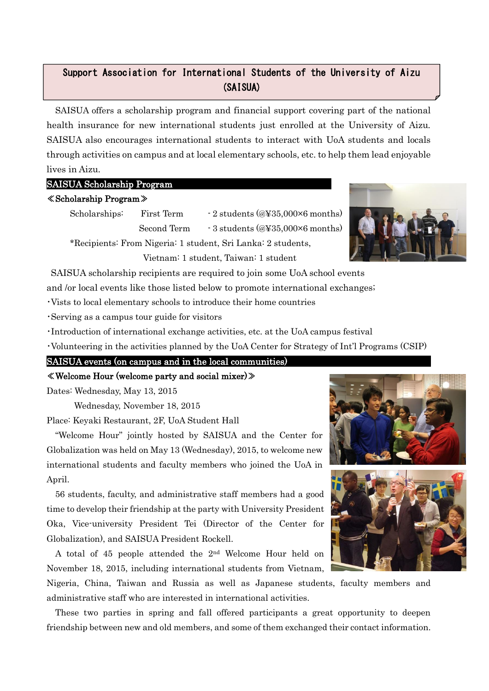# Support Association for International Students of the University of Aizu (SAISUA)

SAISUA offers a scholarship program and financial support covering part of the national health insurance for new international students just enrolled at the University of Aizu. SAISUA also encourages international students to interact with UoA students and locals through activities on campus and at local elementary schools, etc. to help them lead enjoyable lives in Aizu. AY 2015 Activity Report (Draft)

## SAISUA Scholarship Program

## ≪Scholarship Program≫

Scholarships: First Term  $\cdot$  2 students (@\\$35,000 $\times$ 6 months) Second Term  $-3$  students (@¥35,000×6 months)

\*Recipients: From Nigeria: 1 student, Sri Lanka: 2 students, Vietnam: 1 student, Taiwan: 1 student

SAISUA scholarship recipients are required to join some UoA school events

and /or local events like those listed below to promote international exchanges;

・Vists to local elementary schools to introduce their home countries

・Serving as a campus tour guide for visitors

・Introduction of international exchange activities, etc. at the UoA campus festival

・Volunteering in the activities planned by the UoA Center for Strategy of Int'l Programs (CSIP)

SAISUA events (on campus and in the local communities)

≪Welcome Hour (welcome party and social mixer)≫

Dates: Wednesday, May 13, 2015

Wednesday, November 18, 2015

Place: Keyaki Restaurant, 2F, UoA Student Hall

"Welcome Hour" jointly hosted by SAISUA and the Center for Globalization was held on May 13 (Wednesday), 2015, to welcome new international students and faculty members who joined the UoA in April.

56 students, faculty, and administrative staff members had a good time to develop their friendship at the party with University President Oka, Vice-university President Tei (Director of the Center for Globalization), and SAISUA President Rockell.

A total of 45 people attended the 2nd Welcome Hour held on November 18, 2015, including international students from Vietnam,

Nigeria, China, Taiwan and Russia as well as Japanese students, faculty members and administrative staff who are interested in international activities.

These two parties in spring and fall offered participants a great opportunity to deepen friendship between new and old members, and some of them exchanged their contact information.